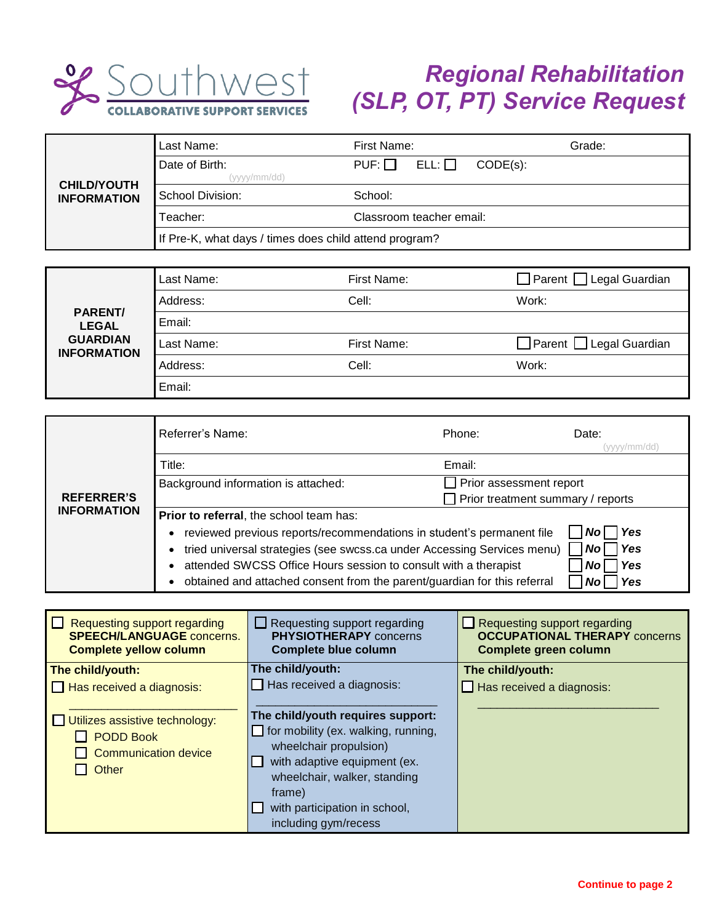

## *Regional Rehabilitation (SLP, OT, PT) Service Request*

| <b>CHILD/YOUTH</b><br><b>INFORMATION</b> | Last Name:                                             | First Name:                            | Grade: |
|------------------------------------------|--------------------------------------------------------|----------------------------------------|--------|
|                                          | Date of Birth:<br>(vvvv/mm/dď)                         | $ELL: \Box$<br>$PUF: \Box$<br>CODE(s): |        |
|                                          | School Division:                                       | School:                                |        |
|                                          | Teacher:                                               | Classroom teacher email:               |        |
|                                          | If Pre-K, what days / times does child attend program? |                                        |        |

| <b>PARENT/</b><br><b>LEGAL</b><br><b>GUARDIAN</b><br><b>INFORMATION</b> | Last Name: | First Name: | $\Box$ Parent $\Box$ Legal Guardian |
|-------------------------------------------------------------------------|------------|-------------|-------------------------------------|
|                                                                         | Address:   | Cell:       | Work:                               |
|                                                                         | Email:     |             |                                     |
|                                                                         | Last Name: | First Name: | $\Box$ Parent $\Box$ Legal Guardian |
|                                                                         | Address:   | Cell:       | Work:                               |
|                                                                         | Email:     |             |                                     |

| <b>REFERRER'S</b>                                                     | Referrer's Name:                                                                                         | Phone:                                   | Date:<br>vvvv/mm/dd' |
|-----------------------------------------------------------------------|----------------------------------------------------------------------------------------------------------|------------------------------------------|----------------------|
|                                                                       | Title:                                                                                                   | Email:                                   |                      |
|                                                                       | Background information is attached:                                                                      | Prior assessment report                  |                      |
|                                                                       |                                                                                                          | $\Box$ Prior treatment summary / reports |                      |
| <b>INFORMATION</b>                                                    | Prior to referral, the school team has:                                                                  |                                          |                      |
| reviewed previous reports/recommendations in student's permanent file |                                                                                                          |                                          | Yes<br>No l          |
|                                                                       | tried universal strategies (see swcss.ca under Accessing Services menu)<br>Yes<br><b>No</b><br>$\bullet$ |                                          |                      |
|                                                                       | attended SWCSS Office Hours session to consult with a therapist<br><b>Yes</b><br>No                      |                                          |                      |
|                                                                       | obtained and attached consent from the parent/guardian for this referral                                 |                                          | Yes<br>No            |

| Requesting support regarding<br><b>SPEECH/LANGUAGE concerns.</b><br><b>Complete yellow column</b> | $\Box$ Requesting support regarding<br><b>PHYSIOTHERAPY</b> concerns<br><b>Complete blue column</b>                                                                                                                                          | Requesting support regarding<br><b>OCCUPATIONAL THERAPY concerns</b><br><b>Complete green column</b> |
|---------------------------------------------------------------------------------------------------|----------------------------------------------------------------------------------------------------------------------------------------------------------------------------------------------------------------------------------------------|------------------------------------------------------------------------------------------------------|
| The child/youth:                                                                                  | The child/youth:                                                                                                                                                                                                                             | The child/youth:                                                                                     |
| $\Box$ Has received a diagnosis:                                                                  | $\Box$ Has received a diagnosis:                                                                                                                                                                                                             | $\Box$ Has received a diagnosis:                                                                     |
| Utilizes assistive technology:<br><b>PODD Book</b><br><b>Communication device</b><br>Other        | The child/youth requires support:<br>$\Box$ for mobility (ex. walking, running,<br>wheelchair propulsion)<br>with adaptive equipment (ex.<br>wheelchair, walker, standing<br>frame)<br>with participation in school,<br>including gym/recess |                                                                                                      |